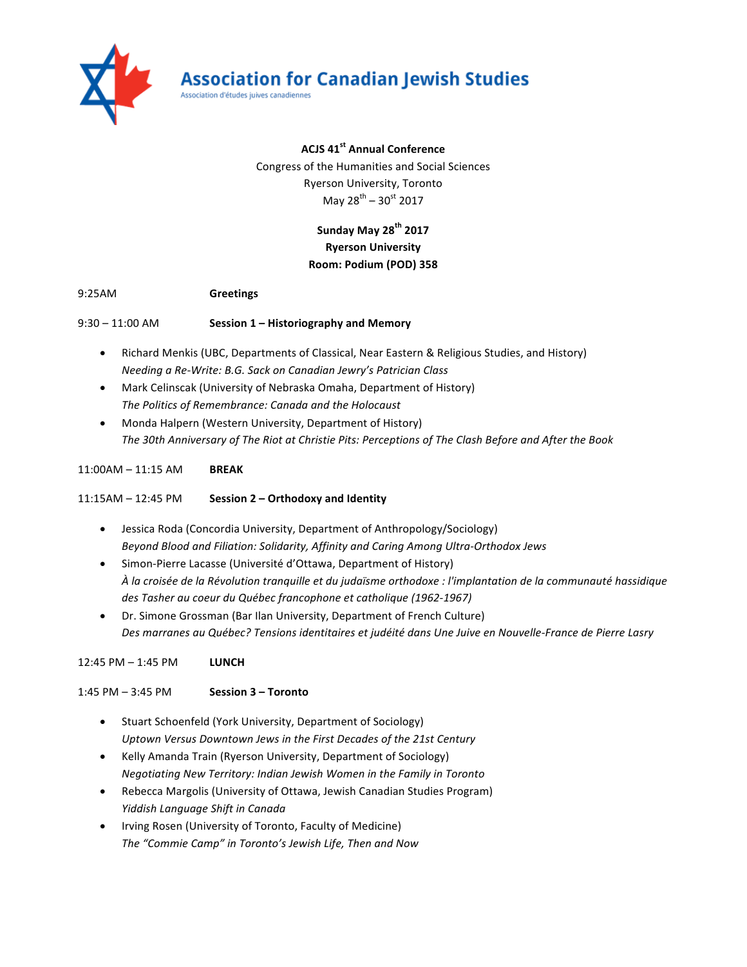

### **ACJS 41st Annual Conference**

Congress of the Humanities and Social Sciences **Ryerson University, Toronto** May  $28^{th}$  – 30st 2017

## **Sunday May 28th 2017 Ryerson University Room: Podium (POD) 358**

#### 9:25AM **Greetings**

9:30 – 11:00 AM **Session 1 – Historiography and Memory** 

- Richard Menkis (UBC, Departments of Classical, Near Eastern & Religious Studies, and History) *Needing a Re-Write: B.G. Sack on Canadian Jewry's Patrician Class*
- Mark Celinscak (University of Nebraska Omaha, Department of History) The Politics of Remembrance: Canada and the Holocaust
- Monda Halpern (Western University, Department of History) The 30th Anniversary of The Riot at Christie Pits: Perceptions of The Clash Before and After the Book

#### 11:00AM – 11:15 AM **BREAK**

11:15AM – 12:45 PM **Session 2 – Orthodoxy and Identity**

- Jessica Roda (Concordia University, Department of Anthropology/Sociology) *Beyond Blood and Filiation: Solidarity, Affinity and Caring Among Ultra-Orthodox Jews*
- Simon-Pierre Lacasse (Université d'Ottawa, Department of History) *À la croisée de la Révolution tranquille et du judaïsme orthodoxe : l'implantation de la communauté hassidique*  des Tasher au coeur du Québec francophone et catholique (1962-1967)
- Dr. Simone Grossman (Bar Ilan University, Department of French Culture) Des marranes au Québec? Tensions identitaires et judéité dans Une Juive en Nouvelle-France de Pierre Lasry

12:45 PM – 1:45 PM **LUNCH**

1:45 PM – 3:45 PM **Session 3 – Toronto**

- Stuart Schoenfeld (York University, Department of Sociology) Uptown Versus Downtown Jews in the First Decades of the 21st Century
- Kelly Amanda Train (Ryerson University, Department of Sociology) *Negotiating New Territory: Indian Jewish Women in the Family in Toronto*
- Rebecca Margolis (University of Ottawa, Jewish Canadian Studies Program) *Yiddish Language Shift in Canada*
- Irving Rosen (University of Toronto, Faculty of Medicine) The "Commie Camp" in Toronto's Jewish Life, Then and Now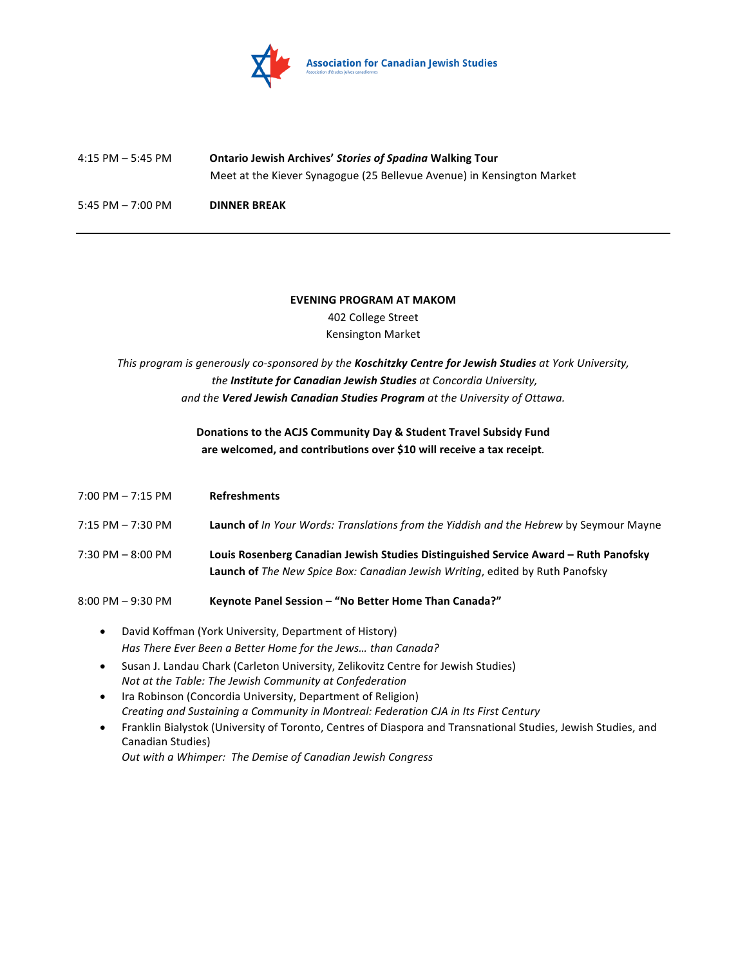

# 4:15 PM – 5:45 PM **Ontario Jewish Archives'** *Stories of Spadina* **Walking Tour** Meet at the Kiever Synagogue (25 Bellevue Avenue) in Kensington Market 5:45 PM – 7:00 PM **DINNER BREAK**

**EVENING PROGRAM AT MAKOM** 402 College Street Kensington Market

This program is generously co-sponsored by the **Koschitzky Centre for Jewish Studies** at York University, the **Institute for Canadian Jewish Studies** at Concordia University, and the Vered Jewish Canadian Studies Program at the University of Ottawa.

### **Donations to the ACJS Community Day & Student Travel Subsidy Fund** are welcomed, and contributions over \$10 will receive a tax receipt.

| 7:00 PM – 7:15 PM | <b>Refreshments</b>                                                                                                                                                         |
|-------------------|-----------------------------------------------------------------------------------------------------------------------------------------------------------------------------|
| 7:15 PM – 7:30 PM | Launch of In Your Words: Translations from the Yiddish and the Hebrew by Seymour Mayne                                                                                      |
| 7:30 PM - 8:00 PM | Louis Rosenberg Canadian Jewish Studies Distinguished Service Award – Ruth Panofsky<br><b>Launch of</b> The New Spice Box: Canadian Jewish Writing, edited by Ruth Panofsky |
| 8:00 PM – 9:30 PM | Keynote Panel Session - "No Better Home Than Canada?"                                                                                                                       |

- David Koffman (York University, Department of History) Has There Ever Been a Better Home for the Jews... than Canada?
- Susan J. Landau Chark (Carleton University, Zelikovitz Centre for Jewish Studies) *Not at the Table: The Jewish Community at Confederation*
- Ira Robinson (Concordia University, Department of Religion) *Creating and Sustaining a Community in Montreal: Federation CJA in Its First Century*
- Franklin Bialystok (University of Toronto, Centres of Diaspora and Transnational Studies, Jewish Studies, and Canadian Studies)

*Out with a Whimper: The Demise of Canadian Jewish Congress*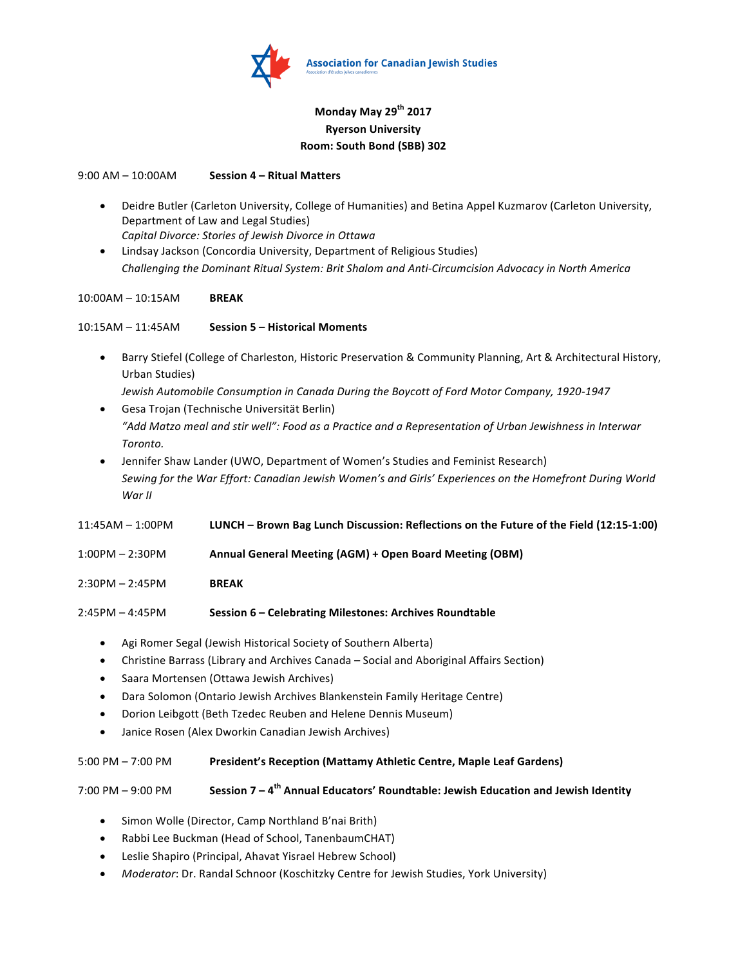

### **Monday May 29th 2017 Ryerson University Room: South Bond (SBB) 302**

9:00 AM – 10:00AM **Session 4 – Ritual Matters**

- Deidre Butler (Carleton University, College of Humanities) and Betina Appel Kuzmarov (Carleton University, Department of Law and Legal Studies) *Capital Divorce: Stories of Jewish Divorce in Ottawa*
- Lindsay Jackson (Concordia University, Department of Religious Studies) Challenging the Dominant Ritual System: Brit Shalom and Anti-Circumcision Advocacy in North America

#### 10:00AM – 10:15AM **BREAK**

10:15AM – 11:45AM **Session 5 – Historical Moments**

- Barry Stiefel (College of Charleston, Historic Preservation & Community Planning, Art & Architectural History, Urban Studies)
- Jewish Automobile Consumption in Canada During the Boycott of Ford Motor Company, 1920-1947 • Gesa Trojan (Technische Universität Berlin)
- *"Add Matzo meal and stir well": Food as a Practice and a Representation of Urban Jewishness in Interwar Toronto.*
- Jennifer Shaw Lander (UWO, Department of Women's Studies and Feminist Research) Sewing for the War Effort: Canadian Jewish Women's and Girls' Experiences on the Homefront During World *War II*

11:45AM – 1:00PM **LUNCH – Brown Bag Lunch Discussion: Reflections on the Future of the Field (12:15-1:00)**

- 1:00PM – 2:30PM **Annual General Meeting (AGM) + Open Board Meeting (OBM)**
- 2:30PM – 2:45PM **BREAK**
- 2:45PM – 4:45PM **Session 6 – Celebrating Milestones: Archives Roundtable**
	- Agi Romer Segal (Jewish Historical Society of Southern Alberta)
	- Christine Barrass (Library and Archives Canada Social and Aboriginal Affairs Section)
	- Saara Mortensen (Ottawa Jewish Archives)
	- Dara Solomon (Ontario Jewish Archives Blankenstein Family Heritage Centre)
	- Dorion Leibgott (Beth Tzedec Reuben and Helene Dennis Museum)
	- Janice Rosen (Alex Dworkin Canadian Jewish Archives)

#### 5:00 PM - 7:00 PM **President's Reception (Mattamy Athletic Centre, Maple Leaf Gardens)**

### 7:00 PM – 9:00 PM **Session 7 – 4<sup>th</sup> Annual Educators' Roundtable: Jewish Education and Jewish Identity**

- Simon Wolle (Director, Camp Northland B'nai Brith)
- Rabbi Lee Buckman (Head of School, TanenbaumCHAT)
- Leslie Shapiro (Principal, Ahavat Yisrael Hebrew School)
- *Moderator*: Dr. Randal Schnoor (Koschitzky Centre for Jewish Studies, York University)